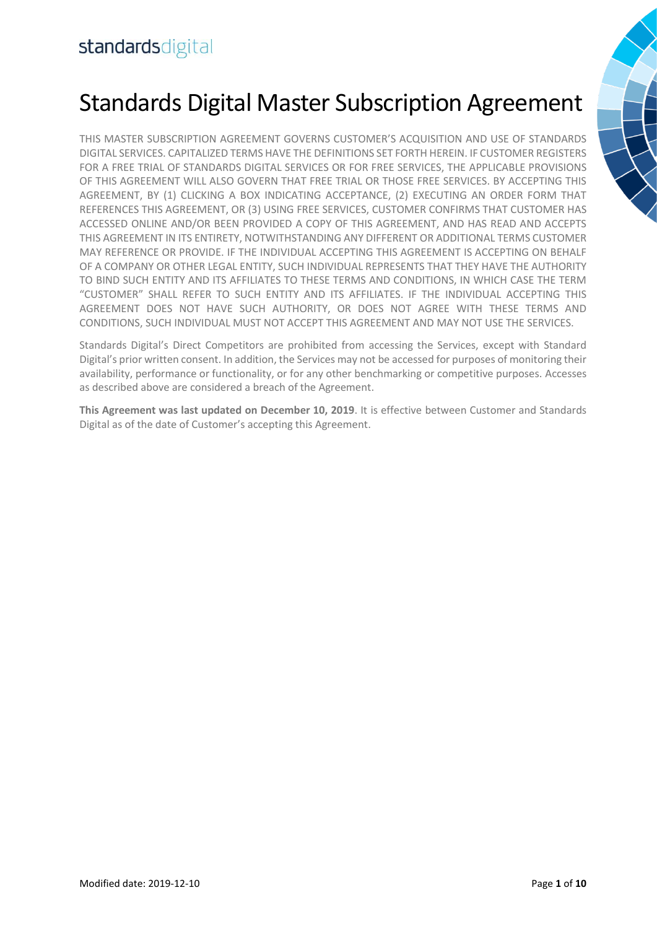# Standards Digital Master Subscription Agreement

THIS MASTER SUBSCRIPTION AGREEMENT GOVERNS CUSTOMER'S ACQUISITION AND USE OF STANDARDS DIGITAL SERVICES. CAPITALIZED TERMS HAVE THE DEFINITIONS SET FORTH HEREIN. IF CUSTOMER REGISTERS FOR A FREE TRIAL OF STANDARDS DIGITAL SERVICES OR FOR FREE SERVICES, THE APPLICABLE PROVISIONS OF THIS AGREEMENT WILL ALSO GOVERN THAT FREE TRIAL OR THOSE FREE SERVICES. BY ACCEPTING THIS AGREEMENT, BY (1) CLICKING A BOX INDICATING ACCEPTANCE, (2) EXECUTING AN ORDER FORM THAT REFERENCES THIS AGREEMENT, OR (3) USING FREE SERVICES, CUSTOMER CONFIRMS THAT CUSTOMER HAS ACCESSED ONLINE AND/OR BEEN PROVIDED A COPY OF THIS AGREEMENT, AND HAS READ AND ACCEPTS THIS AGREEMENT IN ITS ENTIRETY, NOTWITHSTANDING ANY DIFFERENT OR ADDITIONAL TERMS CUSTOMER MAY REFERENCE OR PROVIDE. IF THE INDIVIDUAL ACCEPTING THIS AGREEMENT IS ACCEPTING ON BEHALF OF A COMPANY OR OTHER LEGAL ENTITY, SUCH INDIVIDUAL REPRESENTS THAT THEY HAVE THE AUTHORITY TO BIND SUCH ENTITY AND ITS AFFILIATES TO THESE TERMS AND CONDITIONS, IN WHICH CASE THE TERM "CUSTOMER" SHALL REFER TO SUCH ENTITY AND ITS AFFILIATES. IF THE INDIVIDUAL ACCEPTING THIS AGREEMENT DOES NOT HAVE SUCH AUTHORITY, OR DOES NOT AGREE WITH THESE TERMS AND CONDITIONS, SUCH INDIVIDUAL MUST NOT ACCEPT THIS AGREEMENT AND MAY NOT USE THE SERVICES.

Standards Digital's Direct Competitors are prohibited from accessing the Services, except with Standard Digital's prior written consent. In addition, the Services may not be accessed for purposes of monitoring their availability, performance or functionality, or for any other benchmarking or competitive purposes. Accesses as described above are considered a breach of the Agreement.

**This Agreement was last updated on December 10, 2019**. It is effective between Customer and Standards Digital as of the date of Customer's accepting this Agreement.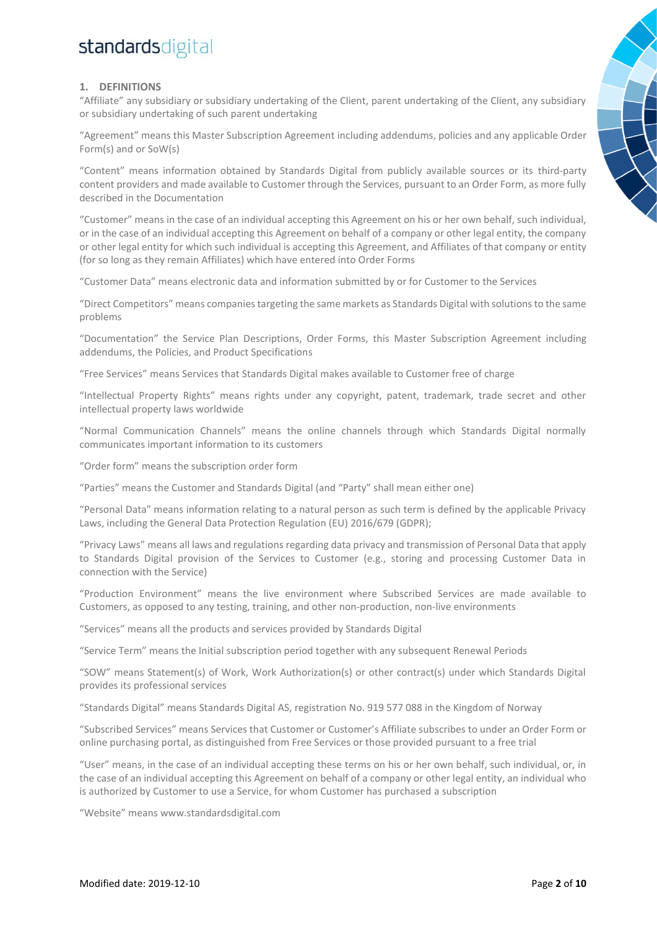### **1. DEFINITIONS**

"Affiliate" any subsidiary or subsidiary undertaking of the Client, parent undertaking of the Client, any subsidiary or subsidiary undertaking of such parent undertaking

"Agreement" means this Master Subscription Agreement including addendums, policies and any applicable Order Form(s) and or SoW(s)

"Content" means information obtained by Standards Digital from publicly available sources or its third-party content providers and made available to Customer through the Services, pursuant to an Order Form, as more fully described in the Documentation

"Customer" means in the case of an individual accepting this Agreement on his or her own behalf, such individual, or in the case of an individual accepting this Agreement on behalf of a company or other legal entity, the company or other legal entity for which such individual is accepting this Agreement, and Affiliates of that company or entity (for so long as they remain Affiliates) which have entered into Order Forms

"Customer Data" means electronic data and information submitted by or for Customer to the Services

"Direct Competitors" means companies targeting the same markets as Standards Digital with solutions to the same problems

"Documentation" the Service Plan Descriptions, Order Forms, this Master Subscription Agreement including addendums, the Policies, and Product Specifications

"Free Services" means Services that Standards Digital makes available to Customer free of charge

"Intellectual Property Rights" means rights under any copyright, patent, trademark, trade secret and other intellectual property laws worldwide

"Normal Communication Channels" means the online channels through which Standards Digital normally communicates important information to its customers

"Order form" means the subscription order form

"Parties" means the Customer and Standards Digital (and "Party" shall mean either one)

"Personal Data" means information relating to a natural person as such term is defined by the applicable Privacy Laws, including the General Data Protection Regulation (EU) 2016/679 (GDPR);

"Privacy Laws" means all laws and regulations regarding data privacy and transmission of Personal Data that apply to Standards Digital provision of the Services to Customer (e.g., storing and processing Customer Data in connection with the Service)

"Production Environment" means the live environment where Subscribed Services are made available to Customers, as opposed to any testing, training, and other non-production, non-live environments

"Services" means all the products and services provided by Standards Digital

"Service Term" means the Initial subscription period together with any subsequent Renewal Periods

"SOW" means Statement(s) of Work, Work Authorization(s) or other contract(s) under which Standards Digital provides its professional services

"Standards Digital" means Standards Digital AS, registration No. 919 577 088 in the Kingdom of Norway

"Subscribed Services" means Services that Customer or Customer's Affiliate subscribes to under an Order Form or online purchasing portal, as distinguished from Free Services or those provided pursuant to a free trial

"User" means, in the case of an individual accepting these terms on his or her own behalf, such individual, or, in the case of an individual accepting this Agreement on behalf of a company or other legal entity, an individual who is authorized by Customer to use a Service, for whom Customer has purchased a subscription

"Website" means www.standardsdigital.com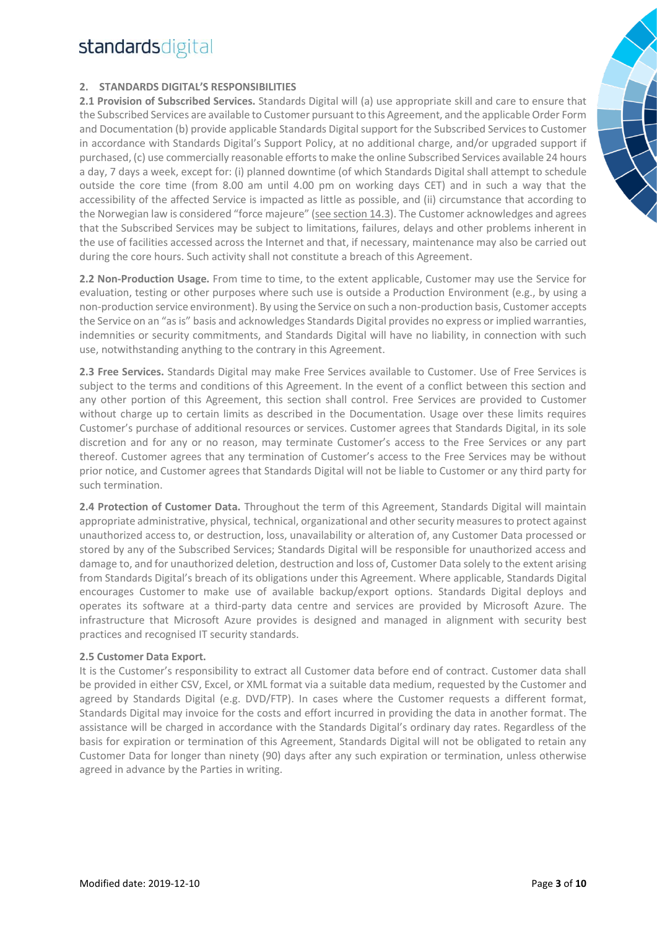### **2. STANDARDS DIGITAL'S RESPONSIBILITIES**

**2.1 Provision of Subscribed Services.** Standards Digital will (a) use appropriate skill and care to ensure that the Subscribed Services are available to Customer pursuant to this Agreement, and the applicable Order Form and Documentation (b) provide applicable Standards Digital support for the Subscribed Services to Customer in accordance with Standards Digital's Support Policy, at no additional charge, and/or upgraded support if purchased, (c) use commercially reasonable efforts to make the online Subscribed Services available 24 hours a day, 7 days a week, except for: (i) planned downtime (of which Standards Digital shall attempt to schedule outside the core time (from 8.00 am until 4.00 pm on working days CET) and in such a way that the accessibility of the affected Service is impacted as little as possible, and (ii) circumstance that according to the Norwegian law is considered "force majeure" (see section 14.3). The Customer acknowledges and agrees that the Subscribed Services may be subject to limitations, failures, delays and other problems inherent in the use of facilities accessed across the Internet and that, if necessary, maintenance may also be carried out during the core hours. Such activity shall not constitute a breach of this Agreement.

**2.2 Non-Production Usage.** From time to time, to the extent applicable, Customer may use the Service for evaluation, testing or other purposes where such use is outside a Production Environment (e.g., by using a non-production service environment). By using the Service on such a non-production basis, Customer accepts the Service on an "as is" basis and acknowledges Standards Digital provides no express or implied warranties, indemnities or security commitments, and Standards Digital will have no liability, in connection with such use, notwithstanding anything to the contrary in this Agreement.

**2.3 Free Services.** Standards Digital may make Free Services available to Customer. Use of Free Services is subject to the terms and conditions of this Agreement. In the event of a conflict between this section and any other portion of this Agreement, this section shall control. Free Services are provided to Customer without charge up to certain limits as described in the Documentation. Usage over these limits requires Customer's purchase of additional resources or services. Customer agrees that Standards Digital, in its sole discretion and for any or no reason, may terminate Customer's access to the Free Services or any part thereof. Customer agrees that any termination of Customer's access to the Free Services may be without prior notice, and Customer agrees that Standards Digital will not be liable to Customer or any third party for such termination.

**2.4 Protection of Customer Data.** Throughout the term of this Agreement, Standards Digital will maintain appropriate administrative, physical, technical, organizational and other security measures to protect against unauthorized access to, or destruction, loss, unavailability or alteration of, any Customer Data processed or stored by any of the Subscribed Services; Standards Digital will be responsible for unauthorized access and damage to, and for unauthorized deletion, destruction and loss of, Customer Data solely to the extent arising from Standards Digital's breach of its obligations under this Agreement. Where applicable, Standards Digital encourages Customer to make use of available backup/export options. Standards Digital deploys and operates its software at a third-party data centre and services are provided by Microsoft Azure. The infrastructure that Microsoft Azure provides is designed and managed in alignment with security best practices and recognised IT security standards.

### **2.5 Customer Data Export.**

It is the Customer's responsibility to extract all Customer data before end of contract. Customer data shall be provided in either CSV, Excel, or XML format via a suitable data medium, requested by the Customer and agreed by Standards Digital (e.g. DVD/FTP). In cases where the Customer requests a different format, Standards Digital may invoice for the costs and effort incurred in providing the data in another format. The assistance will be charged in accordance with the Standards Digital's ordinary day rates. Regardless of the basis for expiration or termination of this Agreement, Standards Digital will not be obligated to retain any Customer Data for longer than ninety (90) days after any such expiration or termination, unless otherwise agreed in advance by the Parties in writing.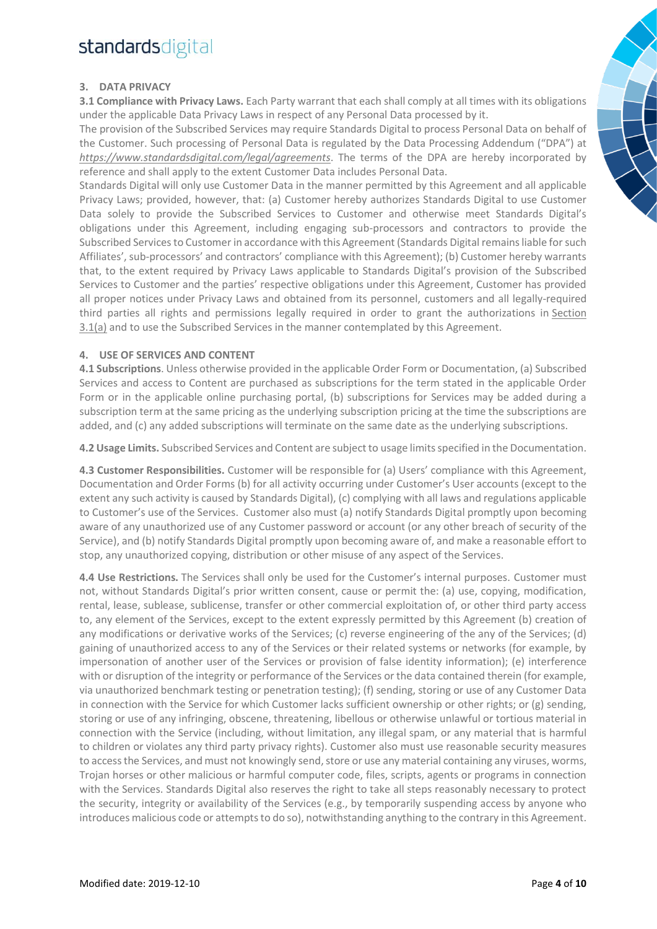### **3. DATA PRIVACY**

**3.1 Compliance with Privacy Laws.** Each Party warrant that each shall comply at all times with its obligations under the applicable Data Privacy Laws in respect of any Personal Data processed by it.

The provision of the Subscribed Services may require Standards Digital to process Personal Data on behalf of the Customer. Such processing of Personal Data is regulated by the Data Processing Addendum ("DPA") at *https://www.standardsdigital.com/legal/agreements*. The terms of the DPA are hereby incorporated by reference and shall apply to the extent Customer Data includes Personal Data.

Standards Digital will only use Customer Data in the manner permitted by this Agreement and all applicable Privacy Laws; provided, however, that: (a) Customer hereby authorizes Standards Digital to use Customer Data solely to provide the Subscribed Services to Customer and otherwise meet Standards Digital's obligations under this Agreement, including engaging sub-processors and contractors to provide the Subscribed Services to Customer in accordance with this Agreement (Standards Digital remains liable for such Affiliates', sub-processors' and contractors' compliance with this Agreement); (b) Customer hereby warrants that, to the extent required by Privacy Laws applicable to Standards Digital's provision of the Subscribed Services to Customer and the parties' respective obligations under this Agreement, Customer has provided all proper notices under Privacy Laws and obtained from its personnel, customers and all legally-required third parties all rights and permissions legally required in order to grant the authorizations in Section 3.1(a) and to use the Subscribed Services in the manner contemplated by this Agreement.

#### **4. USE OF SERVICES AND CONTENT**

**4.1 Subscriptions**. Unless otherwise provided in the applicable Order Form or Documentation, (a) Subscribed Services and access to Content are purchased as subscriptions for the term stated in the applicable Order Form or in the applicable online purchasing portal, (b) subscriptions for Services may be added during a subscription term at the same pricing as the underlying subscription pricing at the time the subscriptions are added, and (c) any added subscriptions will terminate on the same date as the underlying subscriptions.

**4.2 Usage Limits.** Subscribed Services and Content are subject to usage limits specified in the Documentation.

**4.3 Customer Responsibilities.** Customer will be responsible for (a) Users' compliance with this Agreement, Documentation and Order Forms (b) for all activity occurring under Customer's User accounts (except to the extent any such activity is caused by Standards Digital), (c) complying with all laws and regulations applicable to Customer's use of the Services. Customer also must (a) notify Standards Digital promptly upon becoming aware of any unauthorized use of any Customer password or account (or any other breach of security of the Service), and (b) notify Standards Digital promptly upon becoming aware of, and make a reasonable effort to stop, any unauthorized copying, distribution or other misuse of any aspect of the Services.

**4.4 Use Restrictions.** The Services shall only be used for the Customer's internal purposes. Customer must not, without Standards Digital's prior written consent, cause or permit the: (a) use, copying, modification, rental, lease, sublease, sublicense, transfer or other commercial exploitation of, or other third party access to, any element of the Services, except to the extent expressly permitted by this Agreement (b) creation of any modifications or derivative works of the Services; (c) reverse engineering of the any of the Services; (d) gaining of unauthorized access to any of the Services or their related systems or networks (for example, by impersonation of another user of the Services or provision of false identity information); (e) interference with or disruption of the integrity or performance of the Services or the data contained therein (for example, via unauthorized benchmark testing or penetration testing); (f) sending, storing or use of any Customer Data in connection with the Service for which Customer lacks sufficient ownership or other rights; or (g) sending, storing or use of any infringing, obscene, threatening, libellous or otherwise unlawful or tortious material in connection with the Service (including, without limitation, any illegal spam, or any material that is harmful to children or violates any third party privacy rights). Customer also must use reasonable security measures to access the Services, and must not knowingly send, store or use any material containing any viruses, worms, Trojan horses or other malicious or harmful computer code, files, scripts, agents or programs in connection with the Services. Standards Digital also reserves the right to take all steps reasonably necessary to protect the security, integrity or availability of the Services (e.g., by temporarily suspending access by anyone who introduces malicious code or attempts to do so), notwithstanding anything to the contrary in this Agreement.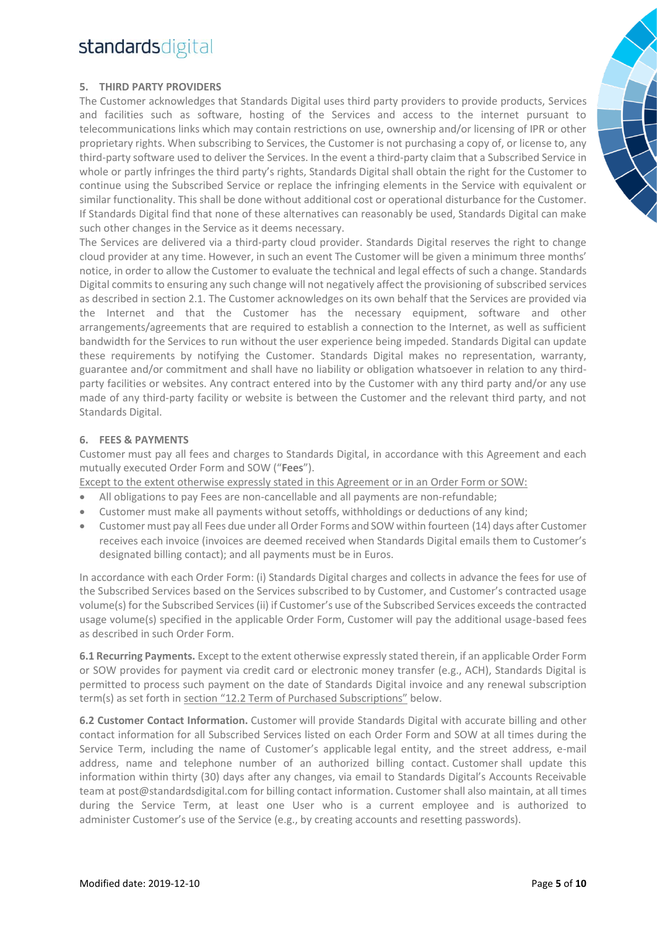### **5. THIRD PARTY PROVIDERS**

The Customer acknowledges that Standards Digital uses third party providers to provide products, Services and facilities such as software, hosting of the Services and access to the internet pursuant to telecommunications links which may contain restrictions on use, ownership and/or licensing of IPR or other proprietary rights. When subscribing to Services, the Customer is not purchasing a copy of, or license to, any third-party software used to deliver the Services. In the event a third-party claim that a Subscribed Service in whole or partly infringes the third party's rights, Standards Digital shall obtain the right for the Customer to continue using the Subscribed Service or replace the infringing elements in the Service with equivalent or similar functionality. This shall be done without additional cost or operational disturbance for the Customer. If Standards Digital find that none of these alternatives can reasonably be used, Standards Digital can make such other changes in the Service as it deems necessary.

The Services are delivered via a third-party cloud provider. Standards Digital reserves the right to change cloud provider at any time. However, in such an event The Customer will be given a minimum three months' notice, in order to allow the Customer to evaluate the technical and legal effects of such a change. Standards Digital commits to ensuring any such change will not negatively affect the provisioning of subscribed services as described in section 2.1. The Customer acknowledges on its own behalf that the Services are provided via the Internet and that the Customer has the necessary equipment, software and other arrangements/agreements that are required to establish a connection to the Internet, as well as sufficient bandwidth for the Services to run without the user experience being impeded. Standards Digital can update these requirements by notifying the Customer. Standards Digital makes no representation, warranty, guarantee and/or commitment and shall have no liability or obligation whatsoever in relation to any thirdparty facilities or websites. Any contract entered into by the Customer with any third party and/or any use made of any third-party facility or website is between the Customer and the relevant third party, and not Standards Digital.

### **6. FEES & PAYMENTS**

Customer must pay all fees and charges to Standards Digital, in accordance with this Agreement and each mutually executed Order Form and SOW ("**Fees**").

Except to the extent otherwise expressly stated in this Agreement or in an Order Form or SOW:

- All obligations to pay Fees are non-cancellable and all payments are non-refundable;
- Customer must make all payments without setoffs, withholdings or deductions of any kind;
- Customer must pay all Fees due under all Order Forms and SOW within fourteen (14) days after Customer receives each invoice (invoices are deemed received when Standards Digital emails them to Customer's designated billing contact); and all payments must be in Euros.

In accordance with each Order Form: (i) Standards Digital charges and collects in advance the fees for use of the Subscribed Services based on the Services subscribed to by Customer, and Customer's contracted usage volume(s) for the Subscribed Services(ii) if Customer's use of the Subscribed Services exceeds the contracted usage volume(s) specified in the applicable Order Form, Customer will pay the additional usage-based fees as described in such Order Form.

**6.1 Recurring Payments.** Except to the extent otherwise expressly stated therein, if an applicable Order Form or SOW provides for payment via credit card or electronic money transfer (e.g., ACH), Standards Digital is permitted to process such payment on the date of Standards Digital invoice and any renewal subscription term(s) as set forth in section "12.2 Term of Purchased Subscriptions" below.

**6.2 Customer Contact Information.** Customer will provide Standards Digital with accurate billing and other contact information for all Subscribed Services listed on each Order Form and SOW at all times during the Service Term, including the name of Customer's applicable legal entity, and the street address, e-mail address, name and telephone number of an authorized billing contact. Customer shall update this information within thirty (30) days after any changes, via email to Standards Digital's Accounts Receivable team at post@standardsdigital.com for billing contact information. Customer shall also maintain, at all times during the Service Term, at least one User who is a current employee and is authorized to administer Customer's use of the Service (e.g., by creating accounts and resetting passwords).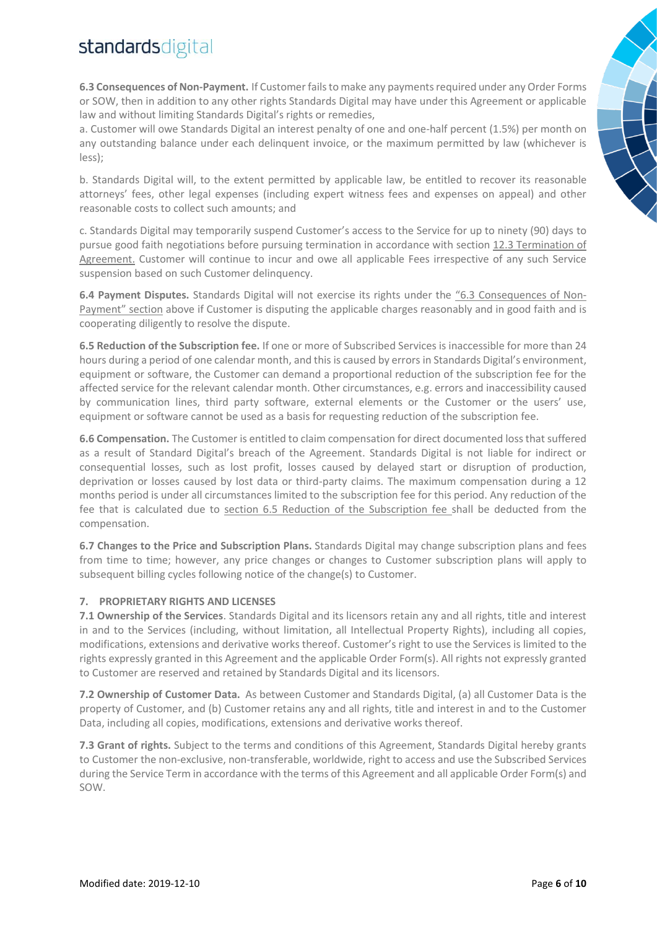**6.3 Consequences of Non-Payment.** If Customer fails to make any payments required under any Order Forms or SOW, then in addition to any other rights Standards Digital may have under this Agreement or applicable law and without limiting Standards Digital's rights or remedies,

a. Customer will owe Standards Digital an interest penalty of one and one-half percent (1.5%) per month on any outstanding balance under each delinquent invoice, or the maximum permitted by law (whichever is less);

b. Standards Digital will, to the extent permitted by applicable law, be entitled to recover its reasonable attorneys' fees, other legal expenses (including expert witness fees and expenses on appeal) and other reasonable costs to collect such amounts; and

c. Standards Digital may temporarily suspend Customer's access to the Service for up to ninety (90) days to pursue good faith negotiations before pursuing termination in accordance with section 12.3 Termination of Agreement. Customer will continue to incur and owe all applicable Fees irrespective of any such Service suspension based on such Customer delinquency.

**6.4 Payment Disputes.** Standards Digital will not exercise its rights under the "6.3 Consequences of Non-Payment" section above if Customer is disputing the applicable charges reasonably and in good faith and is cooperating diligently to resolve the dispute.

**6.5 Reduction of the Subscription fee.** If one or more of Subscribed Services is inaccessible for more than 24 hours during a period of one calendar month, and this is caused by errors in Standards Digital's environment, equipment or software, the Customer can demand a proportional reduction of the subscription fee for the affected service for the relevant calendar month. Other circumstances, e.g. errors and inaccessibility caused by communication lines, third party software, external elements or the Customer or the users' use, equipment or software cannot be used as a basis for requesting reduction of the subscription fee.

**6.6 Compensation.** The Customer is entitled to claim compensation for direct documented loss that suffered as a result of Standard Digital's breach of the Agreement. Standards Digital is not liable for indirect or consequential losses, such as lost profit, losses caused by delayed start or disruption of production, deprivation or losses caused by lost data or third-party claims. The maximum compensation during a 12 months period is under all circumstances limited to the subscription fee for this period. Any reduction of the fee that is calculated due to section 6.5 Reduction of the Subscription fee shall be deducted from the compensation.

**6.7 Changes to the Price and Subscription Plans.** Standards Digital may change subscription plans and fees from time to time; however, any price changes or changes to Customer subscription plans will apply to subsequent billing cycles following notice of the change(s) to Customer.

### **7. PROPRIETARY RIGHTS AND LICENSES**

**7.1 Ownership of the Services**. Standards Digital and its licensors retain any and all rights, title and interest in and to the Services (including, without limitation, all Intellectual Property Rights), including all copies, modifications, extensions and derivative works thereof. Customer's right to use the Services is limited to the rights expressly granted in this Agreement and the applicable Order Form(s). All rights not expressly granted to Customer are reserved and retained by Standards Digital and its licensors.

**7.2 Ownership of Customer Data.** As between Customer and Standards Digital, (a) all Customer Data is the property of Customer, and (b) Customer retains any and all rights, title and interest in and to the Customer Data, including all copies, modifications, extensions and derivative works thereof.

**7.3 Grant of rights.** Subject to the terms and conditions of this Agreement, Standards Digital hereby grants to Customer the non-exclusive, non-transferable, worldwide, right to access and use the Subscribed Services during the Service Term in accordance with the terms of this Agreement and all applicable Order Form(s) and SOW.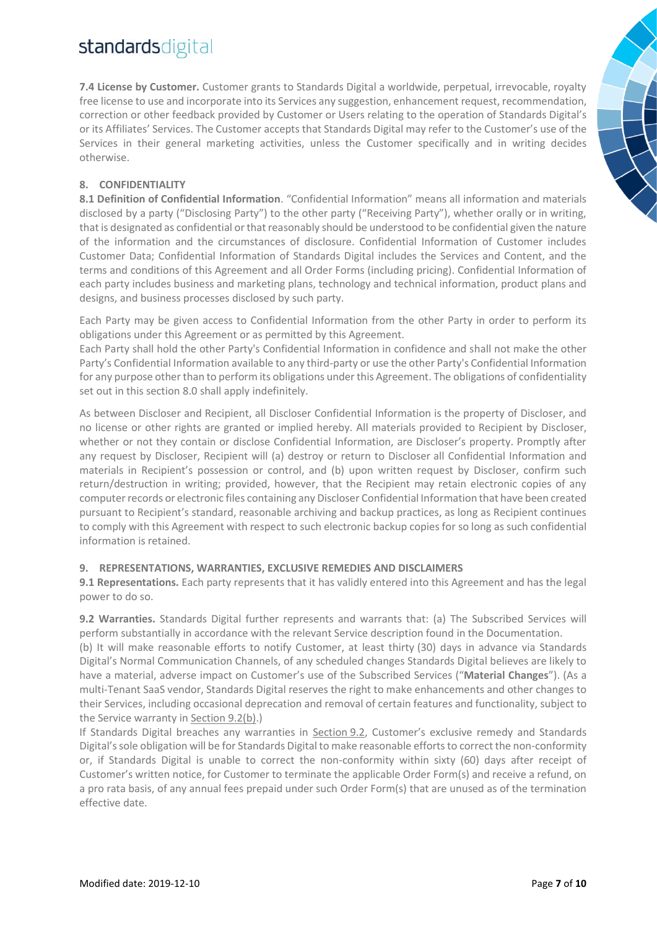**7.4 License by Customer.** Customer grants to Standards Digital a worldwide, perpetual, irrevocable, royalty free license to use and incorporate into its Services any suggestion, enhancement request, recommendation, correction or other feedback provided by Customer or Users relating to the operation of Standards Digital's or its Affiliates' Services. The Customer accepts that Standards Digital may refer to the Customer's use of the Services in their general marketing activities, unless the Customer specifically and in writing decides otherwise.

### **8. CONFIDENTIALITY**

**8.1 Definition of Confidential Information**. "Confidential Information" means all information and materials disclosed by a party ("Disclosing Party") to the other party ("Receiving Party"), whether orally or in writing, that is designated as confidential or that reasonably should be understood to be confidential given the nature of the information and the circumstances of disclosure. Confidential Information of Customer includes Customer Data; Confidential Information of Standards Digital includes the Services and Content, and the terms and conditions of this Agreement and all Order Forms (including pricing). Confidential Information of each party includes business and marketing plans, technology and technical information, product plans and designs, and business processes disclosed by such party.

Each Party may be given access to Confidential Information from the other Party in order to perform its obligations under this Agreement or as permitted by this Agreement.

Each Party shall hold the other Party's Confidential Information in confidence and shall not make the other Party's Confidential Information available to any third-party or use the other Party's Confidential Information for any purpose other than to perform its obligations under this Agreement. The obligations of confidentiality set out in this section 8.0 shall apply indefinitely.

As between Discloser and Recipient, all Discloser Confidential Information is the property of Discloser, and no license or other rights are granted or implied hereby. All materials provided to Recipient by Discloser, whether or not they contain or disclose Confidential Information, are Discloser's property. Promptly after any request by Discloser, Recipient will (a) destroy or return to Discloser all Confidential Information and materials in Recipient's possession or control, and (b) upon written request by Discloser, confirm such return/destruction in writing; provided, however, that the Recipient may retain electronic copies of any computer records or electronic files containing any Discloser Confidential Information that have been created pursuant to Recipient's standard, reasonable archiving and backup practices, as long as Recipient continues to comply with this Agreement with respect to such electronic backup copies for so long as such confidential information is retained.

### **9. REPRESENTATIONS, WARRANTIES, EXCLUSIVE REMEDIES AND DISCLAIMERS**

**9.1 Representations.** Each party represents that it has validly entered into this Agreement and has the legal power to do so.

**9.2 Warranties.** Standards Digital further represents and warrants that: (a) The Subscribed Services will perform substantially in accordance with the relevant Service description found in the Documentation.

(b) It will make reasonable efforts to notify Customer, at least thirty (30) days in advance via Standards Digital's Normal Communication Channels, of any scheduled changes Standards Digital believes are likely to have a material, adverse impact on Customer's use of the Subscribed Services ("**Material Changes**"). (As a multi-Tenant SaaS vendor, Standards Digital reserves the right to make enhancements and other changes to their Services, including occasional deprecation and removal of certain features and functionality, subject to the Service warranty in Section 9.2(b).)

If Standards Digital breaches any warranties in Section 9.2, Customer's exclusive remedy and Standards Digital's sole obligation will be for Standards Digital to make reasonable efforts to correct the non-conformity or, if Standards Digital is unable to correct the non-conformity within sixty (60) days after receipt of Customer's written notice, for Customer to terminate the applicable Order Form(s) and receive a refund, on a pro rata basis, of any annual fees prepaid under such Order Form(s) that are unused as of the termination effective date.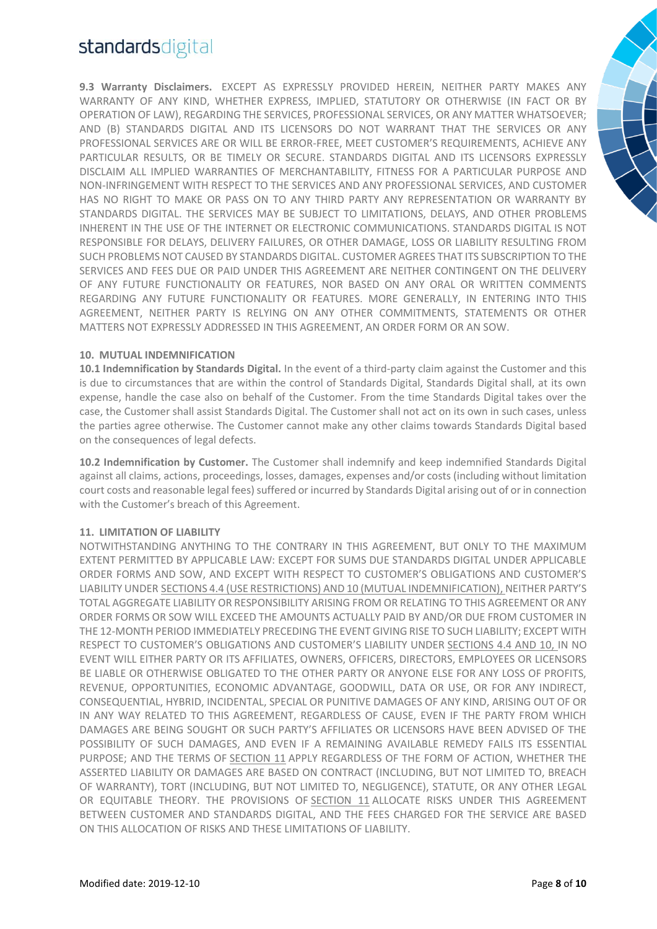**9.3 Warranty Disclaimers.** EXCEPT AS EXPRESSLY PROVIDED HEREIN, NEITHER PARTY MAKES ANY WARRANTY OF ANY KIND, WHETHER EXPRESS, IMPLIED, STATUTORY OR OTHERWISE (IN FACT OR BY OPERATION OF LAW), REGARDING THE SERVICES, PROFESSIONAL SERVICES, OR ANY MATTER WHATSOEVER; AND (B) STANDARDS DIGITAL AND ITS LICENSORS DO NOT WARRANT THAT THE SERVICES OR ANY PROFESSIONAL SERVICES ARE OR WILL BE ERROR-FREE, MEET CUSTOMER'S REQUIREMENTS, ACHIEVE ANY PARTICULAR RESULTS, OR BE TIMELY OR SECURE. STANDARDS DIGITAL AND ITS LICENSORS EXPRESSLY DISCLAIM ALL IMPLIED WARRANTIES OF MERCHANTABILITY, FITNESS FOR A PARTICULAR PURPOSE AND NON-INFRINGEMENT WITH RESPECT TO THE SERVICES AND ANY PROFESSIONAL SERVICES, AND CUSTOMER HAS NO RIGHT TO MAKE OR PASS ON TO ANY THIRD PARTY ANY REPRESENTATION OR WARRANTY BY STANDARDS DIGITAL. THE SERVICES MAY BE SUBJECT TO LIMITATIONS, DELAYS, AND OTHER PROBLEMS INHERENT IN THE USE OF THE INTERNET OR ELECTRONIC COMMUNICATIONS. STANDARDS DIGITAL IS NOT RESPONSIBLE FOR DELAYS, DELIVERY FAILURES, OR OTHER DAMAGE, LOSS OR LIABILITY RESULTING FROM SUCH PROBLEMS NOT CAUSED BY STANDARDS DIGITAL. CUSTOMER AGREES THAT ITS SUBSCRIPTION TO THE SERVICES AND FEES DUE OR PAID UNDER THIS AGREEMENT ARE NEITHER CONTINGENT ON THE DELIVERY OF ANY FUTURE FUNCTIONALITY OR FEATURES, NOR BASED ON ANY ORAL OR WRITTEN COMMENTS REGARDING ANY FUTURE FUNCTIONALITY OR FEATURES. MORE GENERALLY, IN ENTERING INTO THIS AGREEMENT, NEITHER PARTY IS RELYING ON ANY OTHER COMMITMENTS, STATEMENTS OR OTHER MATTERS NOT EXPRESSLY ADDRESSED IN THIS AGREEMENT, AN ORDER FORM OR AN SOW.

#### **10. MUTUAL INDEMNIFICATION**

**10.1 Indemnification by Standards Digital.** In the event of a third-party claim against the Customer and this is due to circumstances that are within the control of Standards Digital, Standards Digital shall, at its own expense, handle the case also on behalf of the Customer. From the time Standards Digital takes over the case, the Customer shall assist Standards Digital. The Customer shall not act on its own in such cases, unless the parties agree otherwise. The Customer cannot make any other claims towards Standards Digital based on the consequences of legal defects.

**10.2 Indemnification by Customer.** The Customer shall indemnify and keep indemnified Standards Digital against all claims, actions, proceedings, losses, damages, expenses and/or costs (including without limitation court costs and reasonable legal fees) suffered or incurred by Standards Digital arising out of or in connection with the Customer's breach of this Agreement.

#### **11. LIMITATION OF LIABILITY**

NOTWITHSTANDING ANYTHING TO THE CONTRARY IN THIS AGREEMENT, BUT ONLY TO THE MAXIMUM EXTENT PERMITTED BY APPLICABLE LAW: EXCEPT FOR SUMS DUE STANDARDS DIGITAL UNDER APPLICABLE ORDER FORMS AND SOW, AND EXCEPT WITH RESPECT TO CUSTOMER'S OBLIGATIONS AND CUSTOMER'S LIABILITY UNDER SECTIONS 4.4 (USE RESTRICTIONS) AND 10 (MUTUAL INDEMNIFICATION), NEITHER PARTY'S TOTAL AGGREGATE LIABILITY OR RESPONSIBILITY ARISING FROM OR RELATING TO THIS AGREEMENT OR ANY ORDER FORMS OR SOW WILL EXCEED THE AMOUNTS ACTUALLY PAID BY AND/OR DUE FROM CUSTOMER IN THE 12-MONTH PERIOD IMMEDIATELY PRECEDING THE EVENT GIVING RISE TO SUCH LIABILITY; EXCEPT WITH RESPECT TO CUSTOMER'S OBLIGATIONS AND CUSTOMER'S LIABILITY UNDER SECTIONS 4.4 AND 10, IN NO EVENT WILL EITHER PARTY OR ITS AFFILIATES, OWNERS, OFFICERS, DIRECTORS, EMPLOYEES OR LICENSORS BE LIABLE OR OTHERWISE OBLIGATED TO THE OTHER PARTY OR ANYONE ELSE FOR ANY LOSS OF PROFITS, REVENUE, OPPORTUNITIES, ECONOMIC ADVANTAGE, GOODWILL, DATA OR USE, OR FOR ANY INDIRECT, CONSEQUENTIAL, HYBRID, INCIDENTAL, SPECIAL OR PUNITIVE DAMAGES OF ANY KIND, ARISING OUT OF OR IN ANY WAY RELATED TO THIS AGREEMENT, REGARDLESS OF CAUSE, EVEN IF THE PARTY FROM WHICH DAMAGES ARE BEING SOUGHT OR SUCH PARTY'S AFFILIATES OR LICENSORS HAVE BEEN ADVISED OF THE POSSIBILITY OF SUCH DAMAGES, AND EVEN IF A REMAINING AVAILABLE REMEDY FAILS ITS ESSENTIAL PURPOSE; AND THE TERMS OF SECTION 11 APPLY REGARDLESS OF THE FORM OF ACTION, WHETHER THE ASSERTED LIABILITY OR DAMAGES ARE BASED ON CONTRACT (INCLUDING, BUT NOT LIMITED TO, BREACH OF WARRANTY), TORT (INCLUDING, BUT NOT LIMITED TO, NEGLIGENCE), STATUTE, OR ANY OTHER LEGAL OR EQUITABLE THEORY. THE PROVISIONS OF SECTION 11 ALLOCATE RISKS UNDER THIS AGREEMENT BETWEEN CUSTOMER AND STANDARDS DIGITAL, AND THE FEES CHARGED FOR THE SERVICE ARE BASED ON THIS ALLOCATION OF RISKS AND THESE LIMITATIONS OF LIABILITY.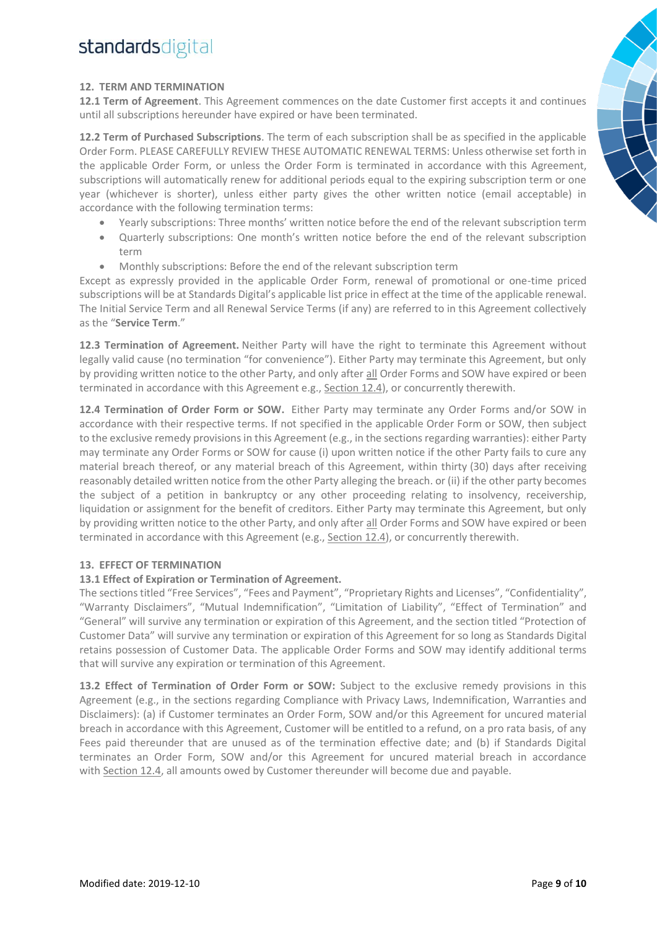### **12. TERM AND TERMINATION**

**12.1 Term of Agreement**. This Agreement commences on the date Customer first accepts it and continues until all subscriptions hereunder have expired or have been terminated.

**12.2 Term of Purchased Subscriptions**. The term of each subscription shall be as specified in the applicable Order Form. PLEASE CAREFULLY REVIEW THESE AUTOMATIC RENEWAL TERMS: Unless otherwise set forth in the applicable Order Form, or unless the Order Form is terminated in accordance with this Agreement, subscriptions will automatically renew for additional periods equal to the expiring subscription term or one year (whichever is shorter), unless either party gives the other written notice (email acceptable) in accordance with the following termination terms:

- Yearly subscriptions: Three months' written notice before the end of the relevant subscription term
- Quarterly subscriptions: One month's written notice before the end of the relevant subscription term
- Monthly subscriptions: Before the end of the relevant subscription term

Except as expressly provided in the applicable Order Form, renewal of promotional or one-time priced subscriptions will be at Standards Digital's applicable list price in effect at the time of the applicable renewal. The Initial Service Term and all Renewal Service Terms (if any) are referred to in this Agreement collectively as the "**Service Term**."

**12.3 Termination of Agreement.** Neither Party will have the right to terminate this Agreement without legally valid cause (no termination "for convenience"). Either Party may terminate this Agreement, but only by providing written notice to the other Party, and only after all Order Forms and SOW have expired or been terminated in accordance with this Agreement e.g., Section 12.4), or concurrently therewith.

**12.4 Termination of Order Form or SOW.** Either Party may terminate any Order Forms and/or SOW in accordance with their respective terms. If not specified in the applicable Order Form or SOW, then subject to the exclusive remedy provisions in this Agreement (e.g., in the sections regarding warranties): either Party may terminate any Order Forms or SOW for cause (i) upon written notice if the other Party fails to cure any material breach thereof, or any material breach of this Agreement, within thirty (30) days after receiving reasonably detailed written notice from the other Party alleging the breach. or (ii) if the other party becomes the subject of a petition in bankruptcy or any other proceeding relating to insolvency, receivership, liquidation or assignment for the benefit of creditors. Either Party may terminate this Agreement, but only by providing written notice to the other Party, and only after all Order Forms and SOW have expired or been terminated in accordance with this Agreement (e.g., Section 12.4), or concurrently therewith.

### **13. EFFECT OF TERMINATION**

#### **13.1 Effect of Expiration or Termination of Agreement.**

The sections titled "Free Services", "Fees and Payment", "Proprietary Rights and Licenses", "Confidentiality", "Warranty Disclaimers", "Mutual Indemnification", "Limitation of Liability", "Effect of Termination" and "General" will survive any termination or expiration of this Agreement, and the section titled "Protection of Customer Data" will survive any termination or expiration of this Agreement for so long as Standards Digital retains possession of Customer Data. The applicable Order Forms and SOW may identify additional terms that will survive any expiration or termination of this Agreement.

**13.2 Effect of Termination of Order Form or SOW:** Subject to the exclusive remedy provisions in this Agreement (e.g., in the sections regarding Compliance with Privacy Laws, Indemnification, Warranties and Disclaimers): (a) if Customer terminates an Order Form, SOW and/or this Agreement for uncured material breach in accordance with this Agreement, Customer will be entitled to a refund, on a pro rata basis, of any Fees paid thereunder that are unused as of the termination effective date; and (b) if Standards Digital terminates an Order Form, SOW and/or this Agreement for uncured material breach in accordance with Section 12.4, all amounts owed by Customer thereunder will become due and payable.